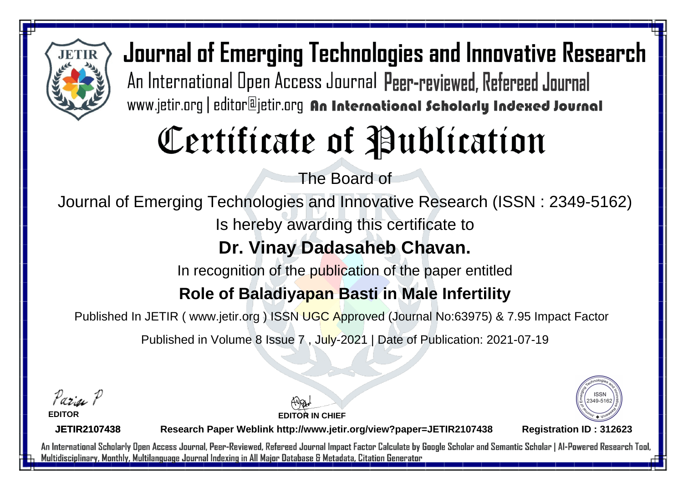

# Certificate of Publication

The Board of

Journal of Emerging Technologies and Innovative Research (ISSN : 2349-5162)

Is hereby awarding this certificate to

#### **Dr. Vinay Dadasaheb Chavan.**

In recognition of the publication of the paper entitled

#### **Role of Baladiyapan Basti in Male Infertility**

Published In JETIR ( www.jetir.org ) ISSN UGC Approved (Journal No: 63975) & 7.95 Impact Factor

Published in Volume 8 Issue 7 , July-2021 | Date of Publication: 2021-07-19

Parin P

**EDITOR**

**EDITOR IN CHIEF**



**JETIR2107438**

**Research Paper Weblink http://www.jetir.org/view?paper=JETIR2107438 Registration ID : 312623**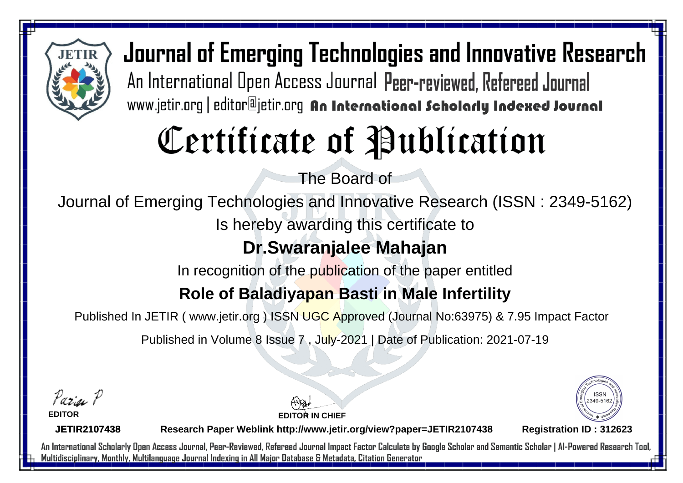

# Certificate of Publication

The Board of

Journal of Emerging Technologies and Innovative Research (ISSN : 2349-5162)

Is hereby awarding this certificate to

### **Dr.Swaranjalee Mahajan**

In recognition of the publication of the paper entitled

#### **Role of Baladiyapan Basti in Male Infertility**

Published In JETIR ( www.jetir.org ) ISSN UGC Approved (Journal No: 63975) & 7.95 Impact Factor

Published in Volume 8 Issue 7 , July-2021 | Date of Publication: 2021-07-19

Parin P **EDITOR**

2349-516

**JETIR2107438**

**Research Paper Weblink http://www.jetir.org/view?paper=JETIR2107438 Registration ID : 312623**

**EDITOR IN CHIEF**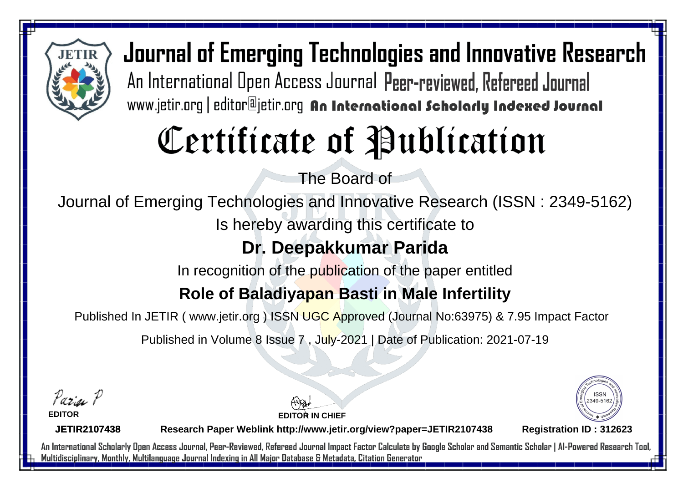

# Certificate of Publication

The Board of

Journal of Emerging Technologies and Innovative Research (ISSN : 2349-5162)

Is hereby awarding this certificate to

### **Dr. Deepakkumar Parida**

In recognition of the publication of the paper entitled

### **Role of Baladiyapan Basti in Male Infertility**

Published In JETIR ( www.jetir.org ) ISSN UGC Approved (Journal No: 63975) & 7.95 Impact Factor

Published in Volume 8 Issue 7 , July-2021 | Date of Publication: 2021-07-19

Parin P

**EDITOR**





**JETIR2107438**

**Research Paper Weblink http://www.jetir.org/view?paper=JETIR2107438 Registration ID : 312623**